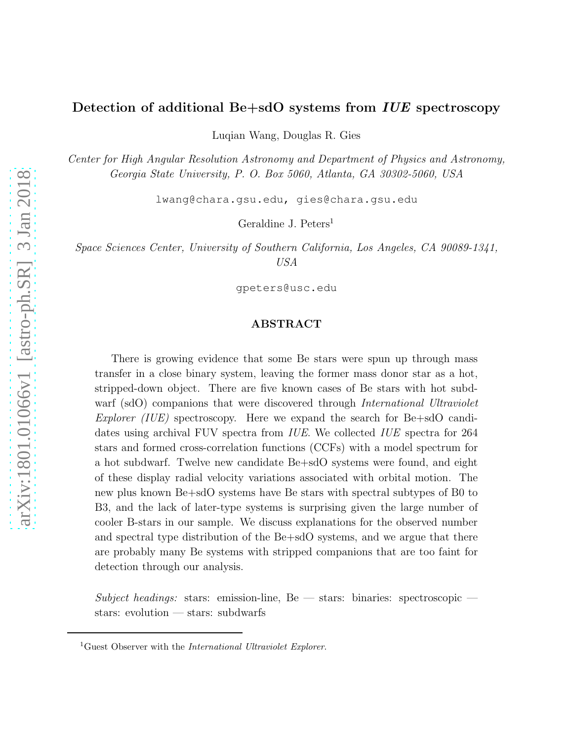# Detection of additional Be+sdO systems from *IUE* spectroscopy

Luqian Wang, Douglas R. Gies

*Center for High Angular Resolution Astronomy and Department of Physics and Astronomy, Georgia State University, P. O. Box 5060, Atlanta, GA 30302-5060, USA*

lwang@chara.gsu.edu, gies@chara.gsu.edu

Geraldine J. Peters<sup>1</sup>

*Space Sciences Center, University of Southern California, Los Angeles, CA 90089-1341, USA*

gpeters@usc.edu

## ABSTRACT

There is growing evidence that some Be stars were spun up through mass transfer in a close binary system, leaving the former mass donor star as a hot, stripped-down object. There are five known cases of Be stars with hot subdwarf (sdO) companions that were discovered through *International Ultraviolet Explorer (IUE)* spectroscopy. Here we expand the search for Be+sdO candidates using archival FUV spectra from *IUE*. We collected *IUE* spectra for 264 stars and formed cross-correlation functions (CCFs) with a model spectrum for a hot subdwarf. Twelve new candidate Be+sdO systems were found, and eight of these display radial velocity variations associated with orbital motion. The new plus known Be+sdO systems have Be stars with spectral subtypes of B0 to B3, and the lack of later-type systems is surprising given the large number of cooler B-stars in our sample. We discuss explanations for the observed number and spectral type distribution of the Be+sdO systems, and we argue that there are probably many Be systems with stripped companions that are too faint for detection through our analysis.

*Subject headings:* stars: emission-line, Be — stars: binaries: spectroscopic stars: evolution — stars: subdwarfs

<sup>&</sup>lt;sup>1</sup>Guest Observer with the *International Ultraviolet Explorer*.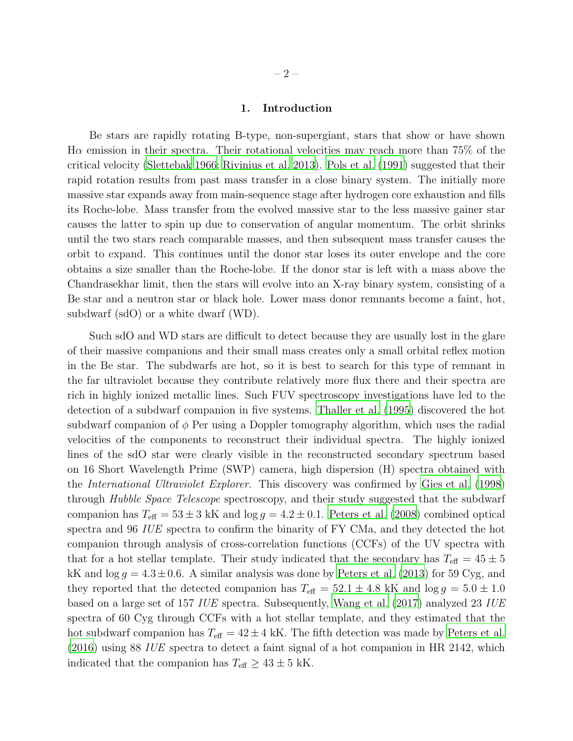#### 1. Introduction

Be stars are rapidly rotating B-type, non-supergiant, stars that show or have shown  $\rm\,H\alpha$  emission in their spectra. Their rotational velocities may reach more than 75% of the critical velocity [\(Slettebak 1966;](#page-14-0) [Rivinius et al. 2013\)](#page-14-1). [Pols et al. \(1991\)](#page-14-2) suggested that their rapid rotation results from past mass transfer in a close binary system. The initially more massive star expands away from main-sequence stage after hydrogen core exhaustion and fills its Roche-lobe. Mass transfer from the evolved massive star to the less massive gainer star causes the latter to spin up due to conservation of angular momentum. The orbit shrinks until the two stars reach comparable masses, and then subsequent mass transfer causes the orbit to expand. This continues until the donor star loses its outer envelope and the core obtains a size smaller than the Roche-lobe. If the donor star is left with a mass above the Chandrasekhar limit, then the stars will evolve into an X-ray binary system, consisting of a Be star and a neutron star or black hole. Lower mass donor remnants become a faint, hot, subdwarf (sdO) or a white dwarf (WD).

Such sdO and WD stars are difficult to detect because they are usually lost in the glare of their massive companions and their small mass creates only a small orbital reflex motion in the Be star. The subdwarfs are hot, so it is best to search for this type of remnant in the far ultraviolet because they contribute relatively more flux there and their spectra are rich in highly ionized metallic lines. Such FUV spectroscopy investigations have led to the detection of a subdwarf companion in five systems. [Thaller et al. \(1995\)](#page-14-3) discovered the hot subdwarf companion of  $\phi$  Per using a Doppler tomography algorithm, which uses the radial velocities of the components to reconstruct their individual spectra. The highly ionized lines of the sdO star were clearly visible in the reconstructed secondary spectrum based on 16 Short Wavelength Prime (SWP) camera, high dispersion (H) spectra obtained with the *International Ultraviolet Explorer*. This discovery was confirmed by [Gies et al. \(1998\)](#page-12-0) through *Hubble Space Telescope* spectroscopy, and their study suggested that the subdwarf companion has  $T_{\text{eff}} = 53 \pm 3$  kK and  $\log g = 4.2 \pm 0.1$ . [Peters et al. \(2008](#page-14-4)) combined optical spectra and 96 *IUE* spectra to confirm the binarity of FY CMa, and they detected the hot companion through analysis of cross-correlation functions (CCFs) of the UV spectra with that for a hot stellar template. Their study indicated that the secondary has  $T_{\text{eff}} = 45 \pm 5$ kK and  $\log g = 4.3 \pm 0.6$ . A similar analysis was done by [Peters et al. \(2013\)](#page-14-5) for 59 Cyg, and they reported that the detected companion has  $T_{\text{eff}} = 52.1 \pm 4.8 \text{ kK}$  and  $\log g = 5.0 \pm 1.0$ based on a large set of 157 *IUE* spectra. Subsequently, [Wang et al. \(2017\)](#page-15-0) analyzed 23 *IUE* spectra of 60 Cyg through CCFs with a hot stellar template, and they estimated that the hot subdwarf companion has  $T_{\text{eff}} = 42 \pm 4$  kK. The fifth detection was made by [Peters et al.](#page-14-6) [\(2016\)](#page-14-6) using 88 *IUE* spectra to detect a faint signal of a hot companion in HR 2142, which indicated that the companion has  $T_{\text{eff}} \geq 43 \pm 5$  kK.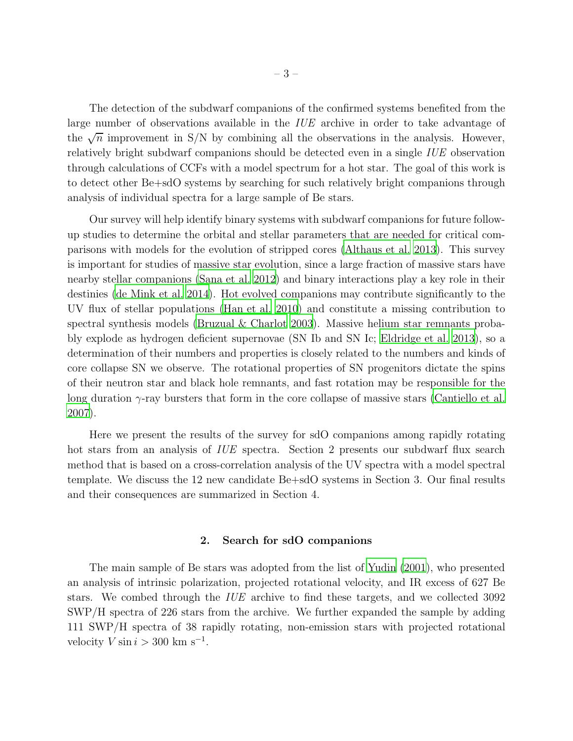The detection of the subdwarf companions of the confirmed systems benefited from the large number of observations available in the *IUE* archive in order to take advantage of the  $\sqrt{n}$  improvement in S/N by combining all the observations in the analysis. However, relatively bright subdwarf companions should be detected even in a single *IUE* observation through calculations of CCFs with a model spectrum for a hot star. The goal of this work is to detect other Be+sdO systems by searching for such relatively bright companions through analysis of individual spectra for a large sample of Be stars.

Our survey will help identify binary systems with subdwarf companions for future followup studies to determine the orbital and stellar parameters that are needed for critical comparisons with models for the evolution of stripped cores [\(Althaus et](#page-12-1) al. [2013](#page-12-1)). This survey is important for studies of massive star evolution, since a large fraction of massive stars have nearby stellar companions [\(Sana et al. 2012\)](#page-14-7) and binary interactions play a key role in their destinies [\(de Mink et al. 2014](#page-12-2)). Hot evolved companions may contribute significantly to the UV flux of stellar populations [\(Han et al. 2010\)](#page-12-3) and constitute a missing contribution to spectral synthesis models [\(Bruzual & Charlot 2003](#page-12-4)). Massive helium star remnants probably explode as hydrogen deficient supernovae (SN Ib and SN Ic; [Eldridge et al. 2013](#page-12-5)), so a determination of their numbers and properties is closely related to the numbers and kinds of core collapse SN we observe. The rotational properties of SN progenitors dictate the spins of their neutron star and black hole remnants, and fast rotation may be responsible for the long duration  $\gamma$ -ray bursters that form in the core collapse of massive stars [\(Cantiello et al.](#page-12-6) [2007\)](#page-12-6).

Here we present the results of the survey for sdO companions among rapidly rotating hot stars from an analysis of *IUE* spectra. Section 2 presents our subdwarf flux search method that is based on a cross-correlation analysis of the UV spectra with a model spectral template. We discuss the 12 new candidate Be+sdO systems in Section 3. Our final results and their consequences are summarized in Section 4.

## 2. Search for sdO companions

The main sample of Be stars was adopted from the list of [Yudin \(2001](#page-15-1)), who presented an analysis of intrinsic polarization, projected rotational velocity, and IR excess of 627 Be stars. We combed through the *IUE* archive to find these targets, and we collected 3092 SWP/H spectra of 226 stars from the archive. We further expanded the sample by adding 111 SWP/H spectra of 38 rapidly rotating, non-emission stars with projected rotational velocity  $V \sin i > 300 \text{ km s}^{-1}$ .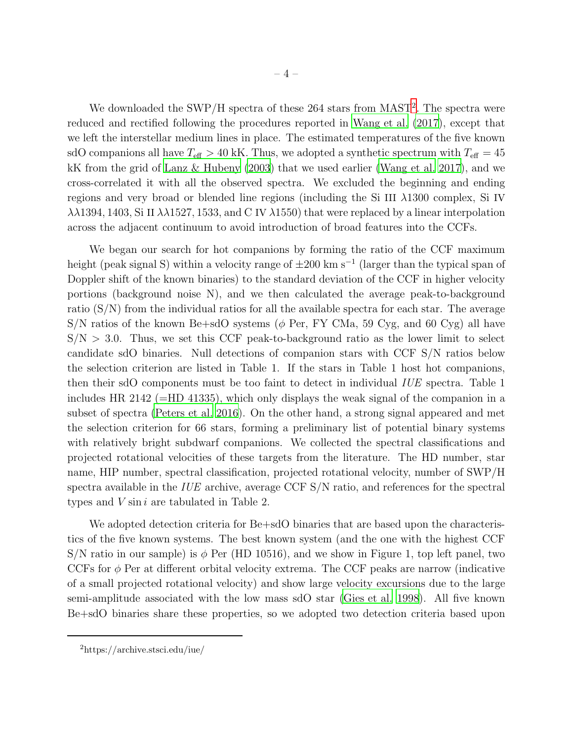We downloaded the SWP/H spectra of these [2](#page-15-2)64 stars from MAST<sup>2</sup>. The spectra were reduced and rectified following the procedures reported in [Wang et](#page-15-0) al. [\(2017\)](#page-15-0), except that we left the interstellar medium lines in place. The estimated temperatures of the five known sdO companions all have  $T_{\text{eff}} > 40$  kK. Thus, we adopted a synthetic spectrum with  $T_{\text{eff}} = 45$ kK from the grid of [Lanz & Hubeny \(2003\)](#page-13-0) that we used earlier [\(Wang](#page-15-0) et al. [2017\)](#page-15-0), and we cross-correlated it with all the observed spectra. We excluded the beginning and ending regions and very broad or blended line regions (including the Si III λ1300 complex, Si IV  $\lambda\lambda$ 1394, 1403, Si II  $\lambda\lambda$ 1527, 1533, and C IV  $\lambda$ 1550) that were replaced by a linear interpolation across the adjacent continuum to avoid introduction of broad features into the CCFs.

We began our search for hot companions by forming the ratio of the CCF maximum height (peak signal S) within a velocity range of  $\pm 200$  km s<sup>-1</sup> (larger than the typical span of Doppler shift of the known binaries) to the standard deviation of the CCF in higher velocity portions (background noise N), and we then calculated the average peak-to-background ratio (S/N) from the individual ratios for all the available spectra for each star. The average  $S/N$  ratios of the known Be+sdO systems ( $\phi$  Per, FY CMa, 59 Cyg, and 60 Cyg) all have  $S/N > 3.0$ . Thus, we set this CCF peak-to-background ratio as the lower limit to select candidate sdO binaries. Null detections of companion stars with CCF S/N ratios below the selection criterion are listed in Table 1. If the stars in Table 1 host hot companions, then their sdO components must be too faint to detect in individual *IUE* spectra. Table 1 includes HR 2142 ( $=$ HD 41335), which only displays the weak signal of the companion in a subset of spectra [\(Peters et al. 2016\)](#page-14-6). On the other hand, a strong signal appeared and met the selection criterion for 66 stars, forming a preliminary list of potential binary systems with relatively bright subdwarf companions. We collected the spectral classifications and projected rotational velocities of these targets from the literature. The HD number, star name, HIP number, spectral classification, projected rotational velocity, number of SWP/H spectra available in the *IUE* archive, average CCF S/N ratio, and references for the spectral types and  $V \sin i$  are tabulated in Table 2.

We adopted detection criteria for Be+sdO binaries that are based upon the characteristics of the five known systems. The best known system (and the one with the highest CCF S/N ratio in our sample) is  $\phi$  Per (HD 10516), and we show in Figure 1, top left panel, two CCFs for  $\phi$  Per at different orbital velocity extrema. The CCF peaks are narrow (indicative of a small projected rotational velocity) and show large velocity excursions due to the large semi-amplitude associated with the low mass sdO star [\(Gies et al. 1998\)](#page-12-0). All five known Be+sdO binaries share these properties, so we adopted two detection criteria based upon

<sup>2</sup>https://archive.stsci.edu/iue/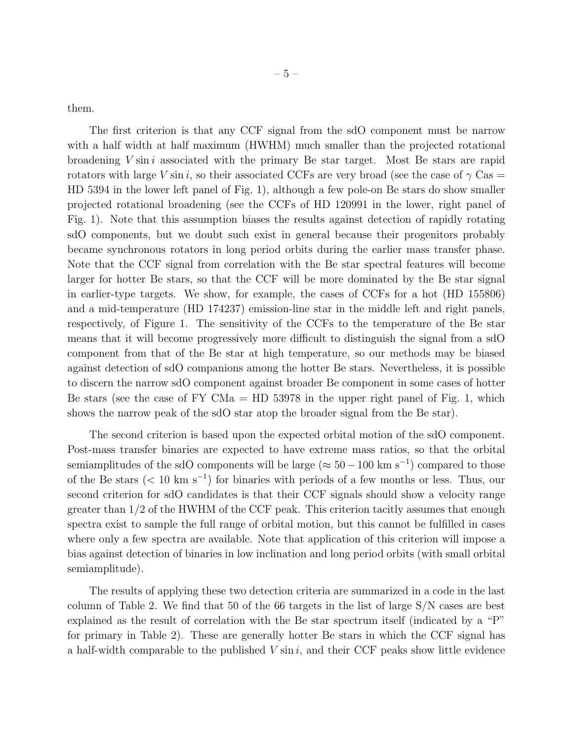them.

The first criterion is that any CCF signal from the sdO component must be narrow with a half width at half maximum (HWHM) much smaller than the projected rotational broadening  $V \sin i$  associated with the primary Be star target. Most Be stars are rapid rotators with large V sin i, so their associated CCFs are very broad (see the case of  $\gamma$  Cas = HD 5394 in the lower left panel of Fig. 1), although a few pole-on Be stars do show smaller projected rotational broadening (see the CCFs of HD 120991 in the lower, right panel of Fig. 1). Note that this assumption biases the results against detection of rapidly rotating sdO components, but we doubt such exist in general because their progenitors probably became synchronous rotators in long period orbits during the earlier mass transfer phase. Note that the CCF signal from correlation with the Be star spectral features will become larger for hotter Be stars, so that the CCF will be more dominated by the Be star signal in earlier-type targets. We show, for example, the cases of CCFs for a hot (HD 155806) and a mid-temperature (HD 174237) emission-line star in the middle left and right panels, respectively, of Figure 1. The sensitivity of the CCFs to the temperature of the Be star means that it will become progressively more difficult to distinguish the signal from a sdO component from that of the Be star at high temperature, so our methods may be biased against detection of sdO companions among the hotter Be stars. Nevertheless, it is possible to discern the narrow sdO component against broader Be component in some cases of hotter Be stars (see the case of FY CMa  $=$  HD 53978 in the upper right panel of Fig. 1, which shows the narrow peak of the sdO star atop the broader signal from the Be star).

The second criterion is based upon the expected orbital motion of the sdO component. Post-mass transfer binaries are expected to have extreme mass ratios, so that the orbital semiamplitudes of the sdO components will be large ( $\approx 50-100$  km s<sup>-1</sup>) compared to those of the Be stars (< 10 km s<sup>−</sup><sup>1</sup> ) for binaries with periods of a few months or less. Thus, our second criterion for sdO candidates is that their CCF signals should show a velocity range greater than 1/2 of the HWHM of the CCF peak. This criterion tacitly assumes that enough spectra exist to sample the full range of orbital motion, but this cannot be fulfilled in cases where only a few spectra are available. Note that application of this criterion will impose a bias against detection of binaries in low inclination and long period orbits (with small orbital semiamplitude).

The results of applying these two detection criteria are summarized in a code in the last column of Table 2. We find that 50 of the 66 targets in the list of large S/N cases are best explained as the result of correlation with the Be star spectrum itself (indicated by a "P" for primary in Table 2). These are generally hotter Be stars in which the CCF signal has a half-width comparable to the published  $V \sin i$ , and their CCF peaks show little evidence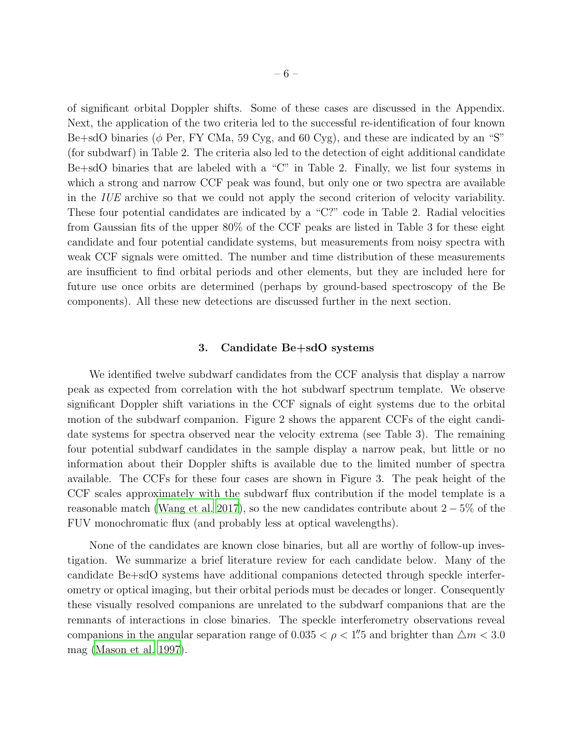of significant orbital Doppler shifts. Some of these cases are discussed in the Appendix. Next, the application of the two criteria led to the successful re-identification of four known Be+sdO binaries ( $\phi$  Per, FY CMa, 59 Cyg, and 60 Cyg), and these are indicated by an "S" (for subdwarf) in Table 2. The criteria also led to the detection of eight additional candidate Be+sdO binaries that are labeled with a "C" in Table 2. Finally, we list four systems in which a strong and narrow CCF peak was found, but only one or two spectra are available in the *IUE* archive so that we could not apply the second criterion of velocity variability. These four potential candidates are indicated by a "C?" code in Table 2. Radial velocities from Gaussian fits of the upper 80% of the CCF peaks are listed in Table 3 for these eight candidate and four potential candidate systems, but measurements from noisy spectra with weak CCF signals were omitted. The number and time distribution of these measurements are insufficient to find orbital periods and other elements, but they are included here for future use once orbits are determined (perhaps by ground-based spectroscopy of the Be components). All these new detections are discussed further in the next section.

#### 3. Candidate Be+sdO systems

We identified twelve subdwarf candidates from the CCF analysis that display a narrow peak as expected from correlation with the hot subdwarf spectrum template. We observe significant Doppler shift variations in the CCF signals of eight systems due to the orbital motion of the subdwarf companion. Figure 2 shows the apparent CCFs of the eight candidate systems for spectra observed near the velocity extrema (see Table 3). The remaining four potential subdwarf candidates in the sample display a narrow peak, but little or no information about their Doppler shifts is available due to the limited number of spectra available. The CCFs for these four cases are shown in Figure 3. The peak height of the CCF scales approximately with the subdwarf flux contribution if the model template is a reasonable match [\(Wang et al. 2017](#page-15-0)), so the new candidates contribute about  $2-5\%$  of the FUV monochromatic flux (and probably less at optical wavelengths).

None of the candidates are known close binaries, but all are worthy of follow-up investigation. We summarize a brief literature review for each candidate below. Many of the candidate Be+sdO systems have additional companions detected through speckle interferometry or optical imaging, but their orbital periods must be decades or longer. Consequently these visually resolved companions are unrelated to the subdwarf companions that are the remnants of interactions in close binaries. The speckle interferometry observations reveal companions in the angular separation range of 0.035  $<\rho<1\rlap{.}''$  and brighter than  $\triangle m<3.0$ mag [\(Mason et al. 1997\)](#page-13-1).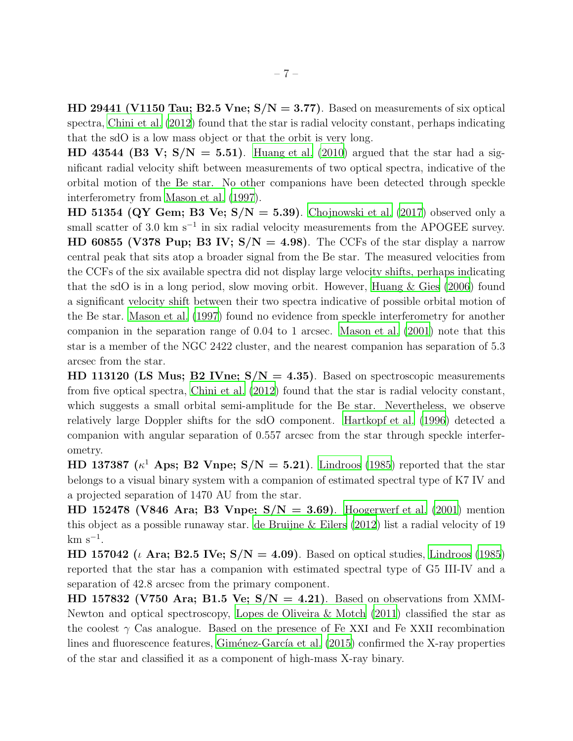HD 29441 (V1150 Tau; B2.5 Vne;  $S/N = 3.77$ ). Based on measurements of six optical spectra, [Chini et al. \(2012](#page-12-7)) found that the star is radial velocity constant, perhaps indicating that the sdO is a low mass object or that the orbit is very long.

HD 43544 (B3 V;  $S/N = 5.51$ ). [Huang et al. \(2010](#page-13-2)) argued that the star had a significant radial velocity shift between measurements of two optical spectra, indicative of the orbital motion of the Be star. No other companions have been detected through speckle interferometry from [Mason et al. \(1997](#page-13-1)).

HD 51354 (QY Gem; B3 Ve;  $S/N = 5.39$ ). [Chojnowski et al. \(2017](#page-12-8)) observed only a small scatter of 3.0 km s<sup> $-1$ </sup> in six radial velocity measurements from the APOGEE survey. HD 60855 (V378 Pup; B3 IV;  $S/N = 4.98$ ). The CCFs of the star display a narrow central peak that sits atop a broader signal from the Be star. The measured velocities from the CCFs of the six available spectra did not display large velocity shifts, perhaps indicating that the sdO is in a long period, slow moving orbit. However, [Huang & Gies \(2006](#page-13-3)) found a significant velocity shift between their two spectra indicative of possible orbital motion of the Be star. [Mason et al. \(1997](#page-13-1)) found no evidence from speckle interferometry for another companion in the separation range of 0.04 to 1 arcsec. [Mason et al. \(2001](#page-13-4)) note that this star is a member of the NGC 2422 cluster, and the nearest companion has separation of 5.3 arcsec from the star.

HD 113120 (LS Mus; B2 IVne;  $S/N = 4.35$ ). Based on spectroscopic measurements from five optical spectra, [Chini et al. \(2012\)](#page-12-7) found that the star is radial velocity constant, which suggests a small orbital semi-amplitude for the Be star. Nevertheless, we observe relatively large Doppler shifts for the sdO component. [Hartkopf et](#page-12-9) al. [\(1996](#page-12-9)) detected a companion with angular separation of 0.557 arcsec from the star through speckle interferometry.

HD 137387 ( $\kappa^1$  Aps; B2 Vnpe; S/N = 5.21). [Lindroos \(1985](#page-13-5)) reported that the star belongs to a visual binary system with a companion of estimated spectral type of K7 IV and a projected separation of 1470 AU from the star.

HD 152478 (V846 Ara; B3 Vnpe;  $S/N = 3.69$ ). [Hoogerwerf et al. \(2001](#page-13-6)) mention this object as a possible runaway star. [de Bruijne & Eilers \(2012](#page-12-10)) list a radial velocity of 19  $km s^{-1}$ .

HD 157042 ( $\iota$  Ara; B2.5 IVe;  $S/N = 4.09$ ). Based on optical studies, [Lindroos \(1985\)](#page-13-5) reported that the star has a companion with estimated spectral type of G5 III-IV and a separation of 42.8 arcsec from the primary component.

HD 157832 (V750 Ara; B1.5 Ve;  $S/N = 4.21$ ). Based on observations from XMM-Newton and optical spectroscopy, Lopes de Oliveira & Motch  $(2011)$  classified the star as the coolest  $\gamma$  Cas analogue. Based on the presence of Fe XXI and Fe XXII recombination lines and fluorescence features, Giménez-García et al.  $(2015)$  confirmed the X-ray properties of the star and classified it as a component of high-mass X-ray binary.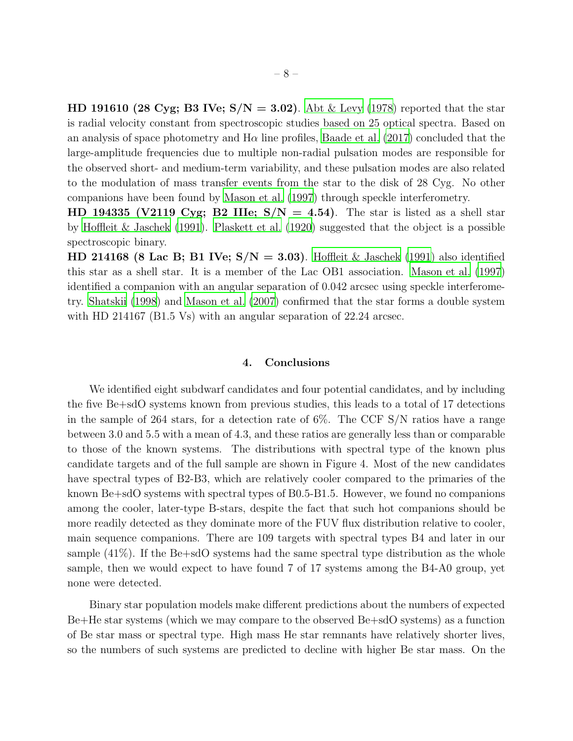**HD 191610 (28 Cyg; B3 IVe; S/N = 3.02)**. [Abt & Levy \(1978\)](#page-12-12) reported that the star is radial velocity constant from spectroscopic studies based on 25 optical spectra. Based on an analysis of space photometry and  $H\alpha$  line profiles, [Baade et al. \(2017](#page-12-13)) concluded that the large-amplitude frequencies due to multiple non-radial pulsation modes are responsible for the observed short- and medium-term variability, and these pulsation modes are also related to the modulation of mass transfer events from the star to the disk of 28 Cyg. No other companions have been found by [Mason et al. \(1997\)](#page-13-1) through speckle interferometry.

HD 194335 (V2119 Cyg; B2 IIIe;  $S/N = 4.54$ ). The star is listed as a shell star by [Hoffleit & Jaschek \(1991\)](#page-13-8). [Plaskett et al. \(1920\)](#page-14-8) suggested that the object is a possible spectroscopic binary.

HD 214168 (8 Lac B; B1 IVe;  $S/N = 3.03$ ). [Hoffleit & Jaschek \(1991\)](#page-13-8) also identified this star as a shell star. It is a member of the Lac OB1 association. [Mason et al. \(1997\)](#page-13-1) identified a companion with an angular separation of 0.042 arcsec using speckle interferometry. [Shatskii \(1998\)](#page-14-9) and [Mason et al. \(2007\)](#page-13-9) confirmed that the star forms a double system with HD 214167 (B1.5 Vs) with an angular separation of 22.24 arcsec.

#### 4. Conclusions

We identified eight subdwarf candidates and four potential candidates, and by including the five Be+sdO systems known from previous studies, this leads to a total of 17 detections in the sample of 264 stars, for a detection rate of 6%. The CCF S/N ratios have a range between 3.0 and 5.5 with a mean of 4.3, and these ratios are generally less than or comparable to those of the known systems. The distributions with spectral type of the known plus candidate targets and of the full sample are shown in Figure 4. Most of the new candidates have spectral types of B2-B3, which are relatively cooler compared to the primaries of the known Be+sdO systems with spectral types of B0.5-B1.5. However, we found no companions among the cooler, later-type B-stars, despite the fact that such hot companions should be more readily detected as they dominate more of the FUV flux distribution relative to cooler, main sequence companions. There are 109 targets with spectral types B4 and later in our sample  $(41\%)$ . If the Be $+$ sdO systems had the same spectral type distribution as the whole sample, then we would expect to have found 7 of 17 systems among the B4-A0 group, yet none were detected.

Binary star population models make different predictions about the numbers of expected Be+He star systems (which we may compare to the observed Be+sdO systems) as a function of Be star mass or spectral type. High mass He star remnants have relatively shorter lives, so the numbers of such systems are predicted to decline with higher Be star mass. On the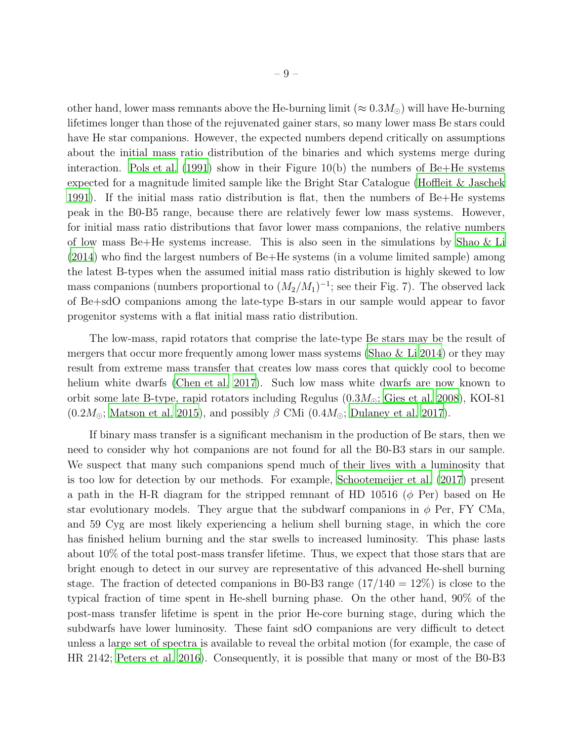other hand, lower mass remnants above the He-burning limit ( $\approx 0.3 M_{\odot}$ ) will have He-burning lifetimes longer than those of the rejuvenated gainer stars, so many lower mass Be stars could have He star companions. However, the expected numbers depend critically on assumptions about the initial mass ratio distribution of the binaries and which systems merge during interaction. Pols et al.  $(1991)$  show in their Figure 10(b) the numbers of Be+He systems expected for a magnitude limited sample like the Bright Star Catalogue [\(Hoffleit & Jaschek](#page-13-8) [1991\)](#page-13-8). If the initial mass ratio distribution is flat, then the numbers of Be+He systems peak in the B0-B5 range, because there are relatively fewer low mass systems. However, for initial mass ratio distributions that favor lower mass companions, the relative numbers of low mass Be+He systems increase. This is also seen in the simulations by [Shao & Li](#page-14-10) [\(2014\)](#page-14-10) who find the largest numbers of Be+He systems (in a volume limited sample) among the latest B-types when the assumed initial mass ratio distribution is highly skewed to low mass companions (numbers proportional to  $(M_2/M_1)^{-1}$ ; see their Fig. 7). The observed lack of Be+sdO companions among the late-type B-stars in our sample would appear to favor progenitor systems with a flat initial mass ratio distribution.

The low-mass, rapid rotators that comprise the late-type Be stars may be the result of mergers that occur more frequently among lower mass systems [\(Shao & Li 2014](#page-14-10)) or they may result from extreme mass transfer that creates low mass cores that quickly cool to become helium white dwarfs [\(Chen et al. 2017](#page-12-14)). Such low mass white dwarfs are now known to orbit some late B-type, rapid rotators including Regulus  $(0.3M_{\odot};$  [Gies et al. 2008\)](#page-12-15), KOI-81  $(0.2M_{\odot};$  [Matson et al. 2015\)](#page-13-10), and possibly  $\beta$  CMi  $(0.4M_{\odot};$  [Dulaney et al. 2017](#page-12-16)).

If binary mass transfer is a significant mechanism in the production of Be stars, then we need to consider why hot companions are not found for all the B0-B3 stars in our sample. We suspect that many such companions spend much of their lives with a luminosity that is too low for detection by our methods. For example, [Schootemeijer et al. \(2017](#page-14-11)) present a path in the H-R diagram for the stripped remnant of HD 10516 ( $\phi$  Per) based on He star evolutionary models. They argue that the subdwarf companions in  $\phi$  Per, FY CMa, and 59 Cyg are most likely experiencing a helium shell burning stage, in which the core has finished helium burning and the star swells to increased luminosity. This phase lasts about 10% of the total post-mass transfer lifetime. Thus, we expect that those stars that are bright enough to detect in our survey are representative of this advanced He-shell burning stage. The fraction of detected companions in B0-B3 range  $(17/140 = 12\%)$  is close to the typical fraction of time spent in He-shell burning phase. On the other hand, 90% of the post-mass transfer lifetime is spent in the prior He-core burning stage, during which the subdwarfs have lower luminosity. These faint sdO companions are very difficult to detect unless a large set of spectra is available to reveal the orbital motion (for example, the case of HR 2142; [Peters et al. 2016](#page-14-6)). Consequently, it is possible that many or most of the B0-B3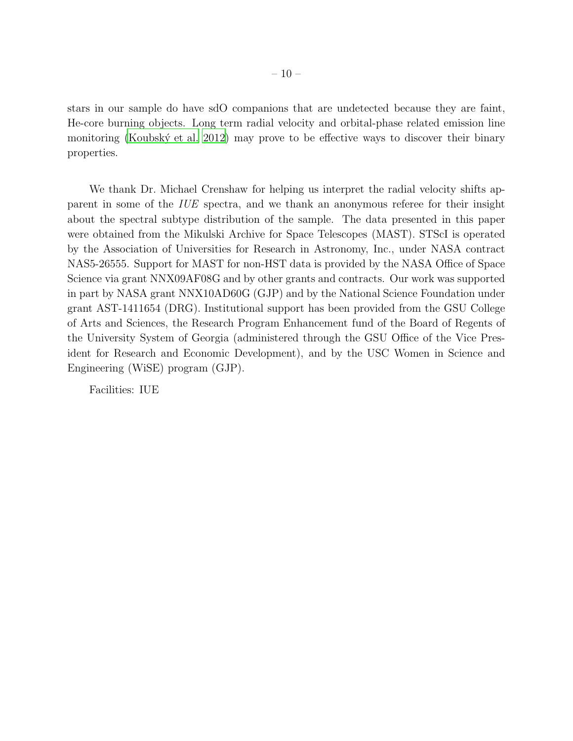stars in our sample do have sdO companions that are undetected because they are faint, He-core burning objects. Long term radial velocity and orbital-phase related emission line monitoring (Koubský et al. 2012) may prove to be effective ways to discover their binary properties.

We thank Dr. Michael Crenshaw for helping us interpret the radial velocity shifts apparent in some of the *IUE* spectra, and we thank an anonymous referee for their insight about the spectral subtype distribution of the sample. The data presented in this paper were obtained from the Mikulski Archive for Space Telescopes (MAST). STScI is operated by the Association of Universities for Research in Astronomy, Inc., under NASA contract NAS5-26555. Support for MAST for non-HST data is provided by the NASA Office of Space Science via grant NNX09AF08G and by other grants and contracts. Our work was supported in part by NASA grant NNX10AD60G (GJP) and by the National Science Foundation under grant AST-1411654 (DRG). Institutional support has been provided from the GSU College of Arts and Sciences, the Research Program Enhancement fund of the Board of Regents of the University System of Georgia (administered through the GSU Office of the Vice President for Research and Economic Development), and by the USC Women in Science and Engineering (WiSE) program (GJP).

Facilities: IUE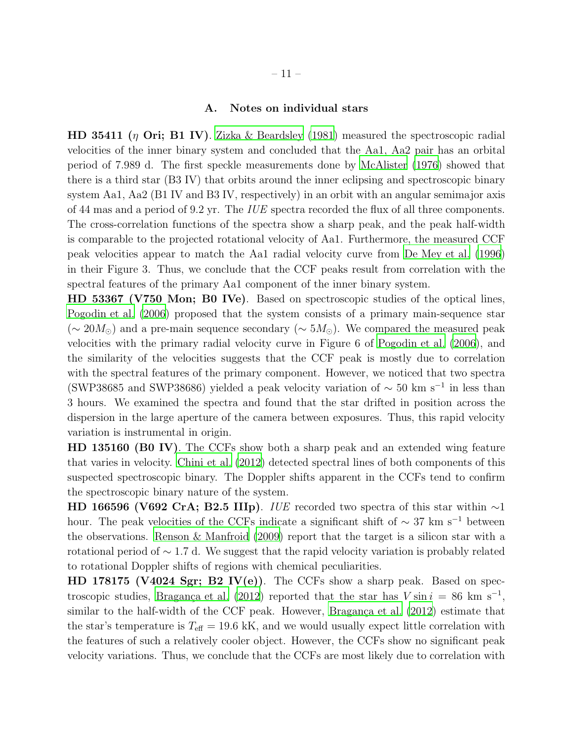## A. Notes on individual stars

**HD 35411** (η Ori; B1 IV). [Zizka & Beardsley \(1981\)](#page-15-3) measured the spectroscopic radial velocities of the inner binary system and concluded that the Aa1, Aa2 pair has an orbital period of 7.989 d. The first speckle measurements done by [McAlister](#page-14-12) [\(1976](#page-14-12)) showed that there is a third star (B3 IV) that orbits around the inner eclipsing and spectroscopic binary system Aa1, Aa2 (B1 IV and B3 IV, respectively) in an orbit with an angular semimajor axis of 44 mas and a period of 9.2 yr. The *IUE* spectra recorded the flux of all three components. The cross-correlation functions of the spectra show a sharp peak, and the peak half-width is comparable to the projected rotational velocity of Aa1. Furthermore, the measured CCF peak velocities appear to match the Aa1 radial velocity curve from [De Mey et al. \(1996\)](#page-12-17) in their Figure 3. Thus, we conclude that the CCF peaks result from correlation with the spectral features of the primary Aa1 component of the inner binary system.

HD 53367 (V750 Mon; B0 IVe). Based on spectroscopic studies of the optical lines, [Pogodin et al. \(2006\)](#page-14-13) proposed that the system consists of a primary main-sequence star (∼ 20 $M_{\odot}$ ) and a pre-main sequence secondary (∼ 5 $M_{\odot}$ ). We compared the measured peak velocities with the primary radial velocity curve in Figure 6 of [Pogodin et al. \(2006\)](#page-14-13), and the similarity of the velocities suggests that the CCF peak is mostly due to correlation with the spectral features of the primary component. However, we noticed that two spectra (SWP38685 and SWP38686) yielded a peak velocity variation of  $\sim$  50 km s<sup>-1</sup> in less than 3 hours. We examined the spectra and found that the star drifted in position across the dispersion in the large aperture of the camera between exposures. Thus, this rapid velocity variation is instrumental in origin.

HD 135160 (B0 IV). The CCFs show both a sharp peak and an extended wing feature that varies in velocity. [Chini et al. \(2012\)](#page-12-7) detected spectral lines of both components of this suspected spectroscopic binary. The Doppler shifts apparent in the CCFs tend to confirm the spectroscopic binary nature of the system.

HD 166596 (V692 CrA; B2.5 IIIp). *IUE* recorded two spectra of this star within ∼1 hour. The peak velocities of the CCFs indicate a significant shift of  $\sim 37 \text{ km s}^{-1}$  between the observations. [Renson & Manfroid \(2009\)](#page-14-14) report that the target is a silicon star with a rotational period of  $\sim$  1.7 d. We suggest that the rapid velocity variation is probably related to rotational Doppler shifts of regions with chemical peculiarities.

 $HD$  178175 (V4024 Sgr; B2 IV(e)). The CCFs show a sharp peak. Based on spectroscopic studies, Bragança et al. (2012) reported that the star has  $V \sin i = 86$  km s<sup>-1</sup>, similar to the half-width of the CCF peak. However, Bragança et al.  $(2012)$  $(2012)$  estimate that the star's temperature is  $T_{\text{eff}} = 19.6$  kK, and we would usually expect little correlation with the features of such a relatively cooler object. However, the CCFs show no significant peak velocity variations. Thus, we conclude that the CCFs are most likely due to correlation with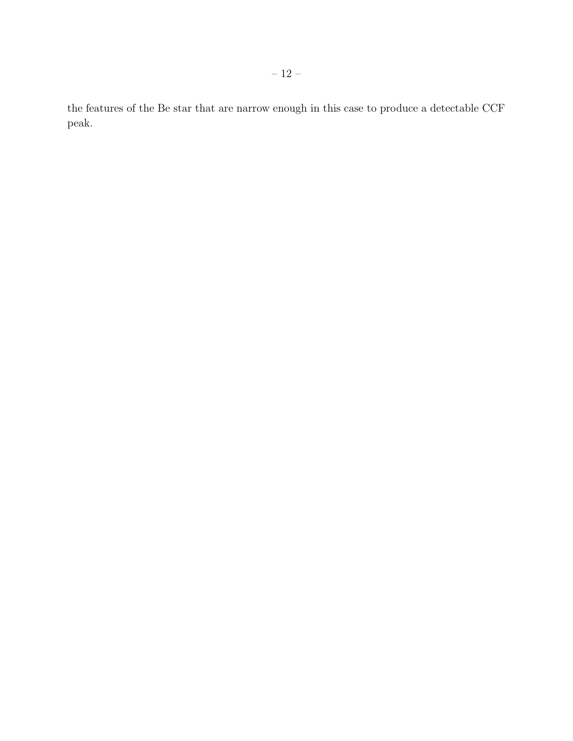the features of the Be star that are narrow enough in this case to produce a detectable CCF peak.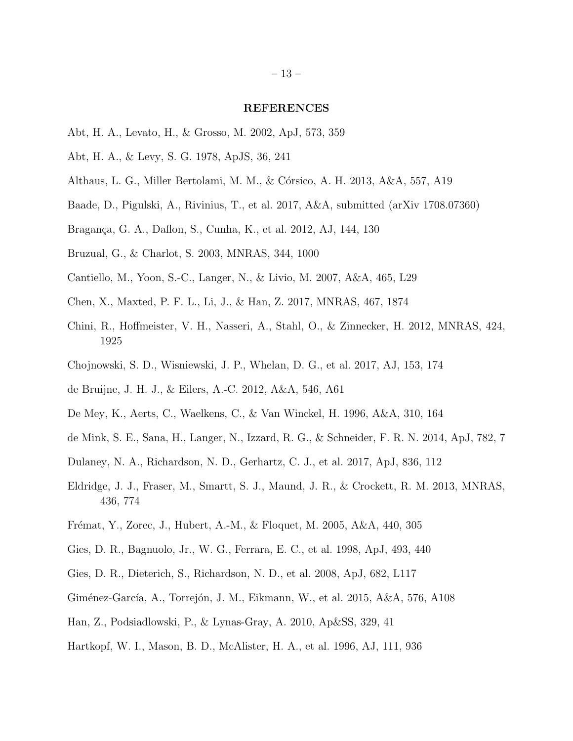#### <span id="page-12-22"></span><span id="page-12-21"></span><span id="page-12-20"></span><span id="page-12-19"></span>REFERENCES

- Abt, H. A., Levato, H., & Grosso, M. 2002, ApJ, 573, 359
- <span id="page-12-12"></span>Abt, H. A., & Levy, S. G. 1978, ApJS, 36, 241
- <span id="page-12-1"></span>Althaus, L. G., Miller Bertolami, M. M., & C´orsico, A. H. 2013, A&A, 557, A19
- <span id="page-12-13"></span>Baade, D., Pigulski, A., Rivinius, T., et al. 2017, A&A, submitted (arXiv 1708.07360)
- <span id="page-12-18"></span>Bragança, G. A., Daflon, S., Cunha, K., et al. 2012, AJ, 144, 130
- <span id="page-12-4"></span>Bruzual, G., & Charlot, S. 2003, MNRAS, 344, 1000
- <span id="page-12-6"></span>Cantiello, M., Yoon, S.-C., Langer, N., & Livio, M. 2007, A&A, 465, L29
- <span id="page-12-14"></span>Chen, X., Maxted, P. F. L., Li, J., & Han, Z. 2017, MNRAS, 467, 1874
- <span id="page-12-7"></span>Chini, R., Hoffmeister, V. H., Nasseri, A., Stahl, O., & Zinnecker, H. 2012, MNRAS, 424, 1925
- <span id="page-12-8"></span>Chojnowski, S. D., Wisniewski, J. P., Whelan, D. G., et al. 2017, AJ, 153, 174
- <span id="page-12-10"></span>de Bruijne, J. H. J., & Eilers, A.-C. 2012, A&A, 546, A61
- <span id="page-12-17"></span>De Mey, K., Aerts, C., Waelkens, C., & Van Winckel, H. 1996, A&A, 310, 164
- <span id="page-12-2"></span>de Mink, S. E., Sana, H., Langer, N., Izzard, R. G., & Schneider, F. R. N. 2014, ApJ, 782, 7
- <span id="page-12-16"></span>Dulaney, N. A., Richardson, N. D., Gerhartz, C. J., et al. 2017, ApJ, 836, 112
- <span id="page-12-5"></span>Eldridge, J. J., Fraser, M., Smartt, S. J., Maund, J. R., & Crockett, R. M. 2013, MNRAS, 436, 774
- Frémat, Y., Zorec, J., Hubert, A.-M., & Floquet, M. 2005, A&A, 440, 305
- <span id="page-12-0"></span>Gies, D. R., Bagnuolo, Jr., W. G., Ferrara, E. C., et al. 1998, ApJ, 493, 440
- <span id="page-12-15"></span>Gies, D. R., Dieterich, S., Richardson, N. D., et al. 2008, ApJ, 682, L117
- <span id="page-12-11"></span>Giménez-García, A., Torrejón, J. M., Eikmann, W., et al. 2015, A&A, 576, A108
- <span id="page-12-3"></span>Han, Z., Podsiadlowski, P., & Lynas-Gray, A. 2010, Ap&SS, 329, 41
- <span id="page-12-9"></span>Hartkopf, W. I., Mason, B. D., McAlister, H. A., et al. 1996, AJ, 111, 936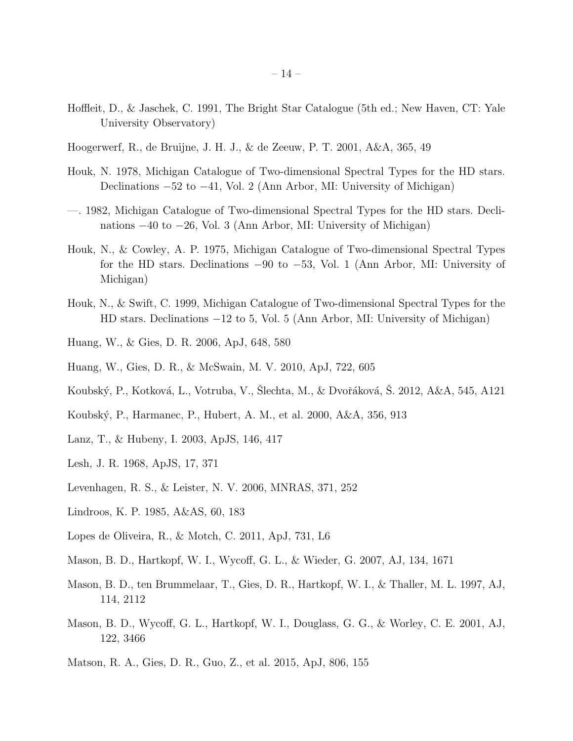- <span id="page-13-20"></span><span id="page-13-19"></span><span id="page-13-18"></span><span id="page-13-17"></span><span id="page-13-16"></span><span id="page-13-15"></span><span id="page-13-14"></span><span id="page-13-13"></span><span id="page-13-12"></span><span id="page-13-8"></span>Hoffleit, D., & Jaschek, C. 1991, The Bright Star Catalogue (5th ed.; New Haven, CT: Yale University Observatory)
- <span id="page-13-6"></span>Hoogerwerf, R., de Bruijne, J. H. J., & de Zeeuw, P. T. 2001, A&A, 365, 49
- Houk, N. 1978, Michigan Catalogue of Two-dimensional Spectral Types for the HD stars. Declinations −52 to −41, Vol. 2 (Ann Arbor, MI: University of Michigan)
- —. 1982, Michigan Catalogue of Two-dimensional Spectral Types for the HD stars. Declinations −40 to −26, Vol. 3 (Ann Arbor, MI: University of Michigan)
- Houk, N., & Cowley, A. P. 1975, Michigan Catalogue of Two-dimensional Spectral Types for the HD stars. Declinations −90 to −53, Vol. 1 (Ann Arbor, MI: University of Michigan)
- Houk, N., & Swift, C. 1999, Michigan Catalogue of Two-dimensional Spectral Types for the HD stars. Declinations −12 to 5, Vol. 5 (Ann Arbor, MI: University of Michigan)
- <span id="page-13-3"></span>Huang, W., & Gies, D. R. 2006, ApJ, 648, 580
- <span id="page-13-2"></span>Huang, W., Gies, D. R., & McSwain, M. V. 2010, ApJ, 722, 605
- <span id="page-13-11"></span>Koubský, P., Kotková, L., Votruba, V., Šlechta, M., & Dvořáková, Š. 2012, A&A, 545, A121
- Koubsk´y, P., Harmanec, P., Hubert, A. M., et al. 2000, A&A, 356, 913
- <span id="page-13-0"></span>Lanz, T., & Hubeny, I. 2003, ApJS, 146, 417
- Lesh, J. R. 1968, ApJS, 17, 371
- Levenhagen, R. S., & Leister, N. V. 2006, MNRAS, 371, 252
- <span id="page-13-5"></span>Lindroos, K. P. 1985, A&AS, 60, 183
- <span id="page-13-7"></span>Lopes de Oliveira, R., & Motch, C. 2011, ApJ, 731, L6
- <span id="page-13-9"></span>Mason, B. D., Hartkopf, W. I., Wycoff, G. L., & Wieder, G. 2007, AJ, 134, 1671
- <span id="page-13-1"></span>Mason, B. D., ten Brummelaar, T., Gies, D. R., Hartkopf, W. I., & Thaller, M. L. 1997, AJ, 114, 2112
- <span id="page-13-4"></span>Mason, B. D., Wycoff, G. L., Hartkopf, W. I., Douglass, G. G., & Worley, C. E. 2001, AJ, 122, 3466
- <span id="page-13-10"></span>Matson, R. A., Gies, D. R., Guo, Z., et al. 2015, ApJ, 806, 155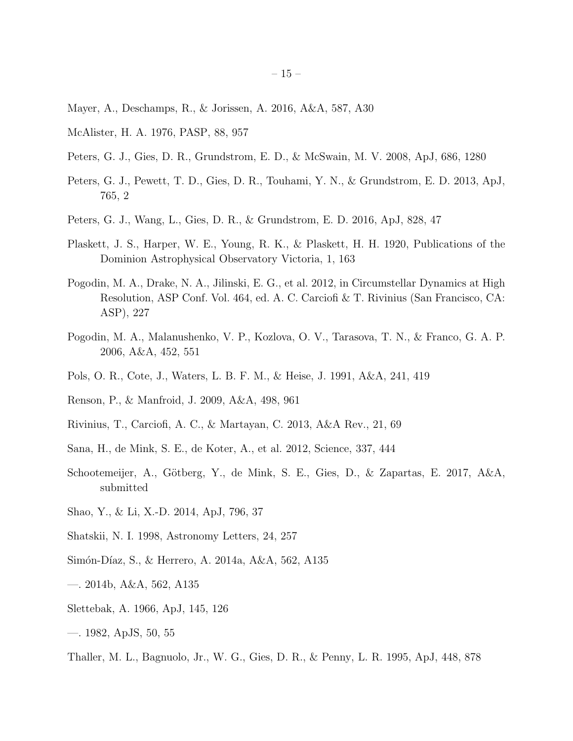- <span id="page-14-21"></span><span id="page-14-20"></span><span id="page-14-19"></span><span id="page-14-18"></span><span id="page-14-17"></span><span id="page-14-16"></span><span id="page-14-15"></span>Mayer, A., Deschamps, R., & Jorissen, A. 2016, A&A, 587, A30
- <span id="page-14-12"></span>McAlister, H. A. 1976, PASP, 88, 957
- <span id="page-14-4"></span>Peters, G. J., Gies, D. R., Grundstrom, E. D., & McSwain, M. V. 2008, ApJ, 686, 1280
- <span id="page-14-5"></span>Peters, G. J., Pewett, T. D., Gies, D. R., Touhami, Y. N., & Grundstrom, E. D. 2013, ApJ, 765, 2
- <span id="page-14-6"></span>Peters, G. J., Wang, L., Gies, D. R., & Grundstrom, E. D. 2016, ApJ, 828, 47
- <span id="page-14-8"></span>Plaskett, J. S., Harper, W. E., Young, R. K., & Plaskett, H. H. 1920, Publications of the Dominion Astrophysical Observatory Victoria, 1, 163
- Pogodin, M. A., Drake, N. A., Jilinski, E. G., et al. 2012, in Circumstellar Dynamics at High Resolution, ASP Conf. Vol. 464, ed. A. C. Carciofi & T. Rivinius (San Francisco, CA: ASP), 227
- <span id="page-14-13"></span>Pogodin, M. A., Malanushenko, V. P., Kozlova, O. V., Tarasova, T. N., & Franco, G. A. P. 2006, A&A, 452, 551
- <span id="page-14-2"></span>Pols, O. R., Cote, J., Waters, L. B. F. M., & Heise, J. 1991, A&A, 241, 419
- <span id="page-14-14"></span>Renson, P., & Manfroid, J. 2009, A&A, 498, 961
- <span id="page-14-1"></span>Rivinius, T., Carciofi, A. C., & Martayan, C. 2013, A&A Rev., 21, 69
- <span id="page-14-7"></span>Sana, H., de Mink, S. E., de Koter, A., et al. 2012, Science, 337, 444
- <span id="page-14-11"></span>Schootemeijer, A., Götberg, Y., de Mink, S. E., Gies, D., & Zapartas, E. 2017, A&A, submitted
- <span id="page-14-10"></span>Shao, Y., & Li, X.-D. 2014, ApJ, 796, 37
- <span id="page-14-9"></span>Shatskii, N. I. 1998, Astronomy Letters, 24, 257
- Simón-Díaz, S., & Herrero, A. 2014a, A&A, 562, A135
- —. 2014b, A&A, 562, A135
- <span id="page-14-0"></span>Slettebak, A. 1966, ApJ, 145, 126
- —. 1982, ApJS, 50, 55
- <span id="page-14-3"></span>Thaller, M. L., Bagnuolo, Jr., W. G., Gies, D. R., & Penny, L. R. 1995, ApJ, 448, 878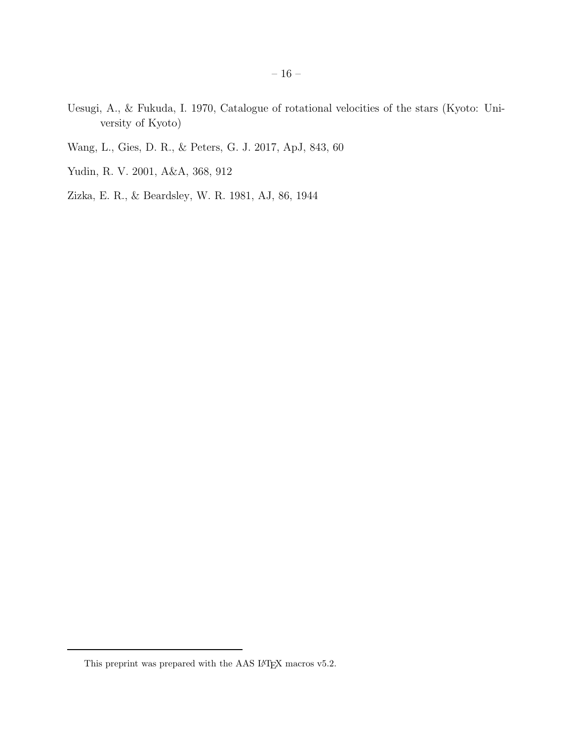- <span id="page-15-5"></span><span id="page-15-4"></span>Uesugi, A., & Fukuda, I. 1970, Catalogue of rotational velocities of the stars (Kyoto: University of Kyoto)
- <span id="page-15-0"></span>Wang, L., Gies, D. R., & Peters, G. J. 2017, ApJ, 843, 60
- <span id="page-15-1"></span>Yudin, R. V. 2001, A&A, 368, 912
- <span id="page-15-3"></span>Zizka, E. R., & Beardsley, W. R. 1981, AJ, 86, 1944

<span id="page-15-2"></span>This preprint was prepared with the AAS  $\rm L^2E\rm K$  macros v5.2.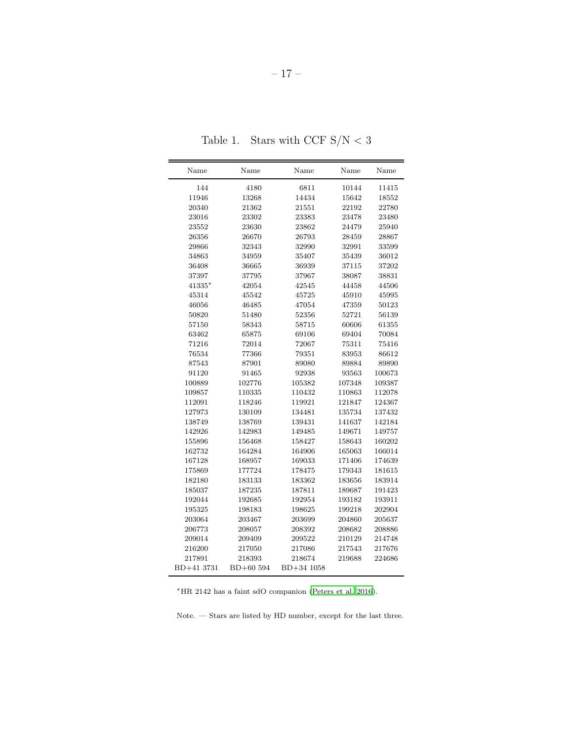Table 1. Stars with CCF  $\rm S/N <3$ 

| Name       | Name      | Name       | Name   | Name   |
|------------|-----------|------------|--------|--------|
| 144        | 4180      | 6811       | 10144  | 11415  |
| 11946      | 13268     | 14434      | 15642  | 18552  |
| 20340      | 21362     | 21551      | 22192  | 22780  |
| 23016      | 23302     | 23383      | 23478  | 23480  |
| 23552      | 23630     | 23862      | 24479  | 25940  |
| 26356      | 26670     | 26793      | 28459  | 28867  |
| 29866      | 32343     | 32990      | 32991  | 33599  |
| 34863      | 34959     | 35407      | 35439  | 36012  |
| 36408      | 36665     | 36939      | 37115  | 37202  |
| 37397      | 37795     | 37967      | 38087  | 38831  |
| 41335*     | 42054     | 42545      | 44458  | 44506  |
| 45314      | 45542     | 45725      | 45910  | 45995  |
| 46056      | 46485     | 47054      | 47359  | 50123  |
| 50820      | 51480     | 52356      | 52721  | 56139  |
| 57150      | 58343     | 58715      | 60606  | 61355  |
| 63462      | 65875     | 69106      | 69404  | 70084  |
| 71216      | 72014     | 72067      | 75311  | 75416  |
| 76534      | 77366     | 79351      | 83953  | 86612  |
| 87543      | 87901     | 89080      | 89884  | 89890  |
| 91120      | 91465     | 92938      | 93563  | 100673 |
| 100889     | 102776    | 105382     | 107348 | 109387 |
| 109857     | 110335    | 110432     | 110863 | 112078 |
| 112091     | 118246    | 119921     | 121847 | 124367 |
| 127973     | 130109    | 134481     | 135734 | 137432 |
| 138749     | 138769    | 139431     | 141637 | 142184 |
| 142926     | 142983    | 149485     | 149671 | 149757 |
| 155896     | 156468    | 158427     | 158643 | 160202 |
| 162732     | 164284    | 164906     | 165063 | 166014 |
| 167128     | 168957    | 169033     | 171406 | 174639 |
| 175869     | 177724    | 178475     | 179343 | 181615 |
| 182180     | 183133    | 183362     | 183656 | 183914 |
| 185037     | 187235    | 187811     | 189687 | 191423 |
| 192044     | 192685    | 192954     | 193182 | 193911 |
| 195325     | 198183    | 198625     | 199218 | 202904 |
| 203064     | 203467    | 203699     | 204860 | 205637 |
| 206773     | 208057    | 208392     | 208682 | 208886 |
| 209014     | 209409    | 209522     | 210129 | 214748 |
| 216200     | 217050    | 217086     | 217543 | 217676 |
| 217891     | 218393    | 218674     | 219688 | 224686 |
| BD+41 3731 | BD+60 594 | BD+34 1058 |        |        |

<sup>∗</sup>HR 2142 has a faint sdO companion [\(Peters et al. 2016](#page-14-6)).

Note. — Stars are listed by HD number, except for the last three.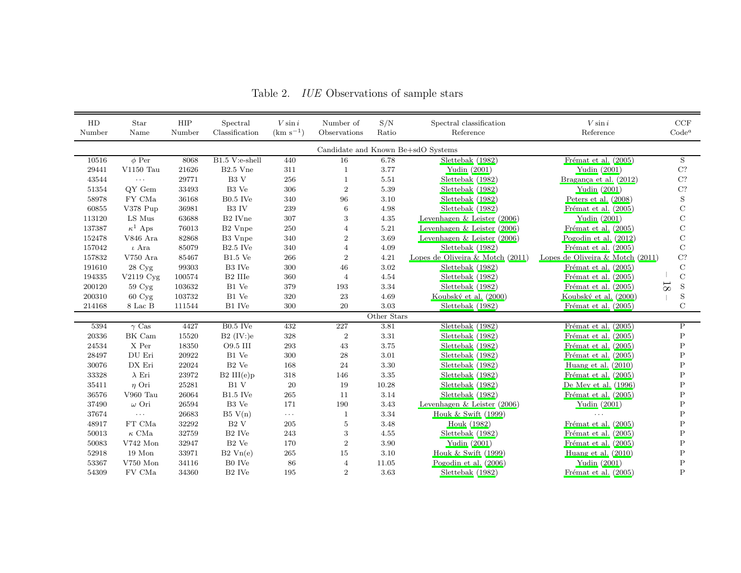| HD                                 | Star                   | ${\rm HIP}$ | Spectral             | $V \sin i$    | Number of        | S/N         | Spectral classification             | $V \sin i$                         | $\ensuremath{\mathrm{CCF}}$   |
|------------------------------------|------------------------|-------------|----------------------|---------------|------------------|-------------|-------------------------------------|------------------------------------|-------------------------------|
| Number                             | Name                   | Number      | Classification       | $(km s^{-1})$ | Observations     | Ratio       | Reference                           | Reference                          | Code <sup>a</sup>             |
| Candidate and Known Be+sdO Systems |                        |             |                      |               |                  |             |                                     |                                    |                               |
| 10516                              | $\phi$ Per             | 8068        | B1.5 V:e-shell       | 440           | 16               | 6.78        | Slettebak (1982)                    | Frémat et al. $(2005)$             | S                             |
| 29441                              | $V1150$ Tau            | 21626       | B <sub>2.5</sub> Vne | 311           | $\mathbf{1}$     | 3.77        | Yudin (2001)                        | Yudin (2001)                       | C?                            |
| 43544                              | $\sim$ $\sim$ $\sim$   | 29771       | B <sub>3</sub> V     | 256           | $\mathbf{1}$     | 5.51        | Slettebak (1982)                    | Bragança et al. (2012)             | $\rm C?$                      |
| 51354                              | QY Gem                 | 33493       | $\rm{B3}$ Ve         | 306           | $\boldsymbol{2}$ | $5.39\,$    | Slettebak (1982)                    | Yudin (2001)                       | $\rm C?$                      |
| 58978                              | FY CMa                 | 36168       | $B0.5$ IVe           | 340           | 96               | 3.10        | Slettebak (1982)                    | Peters et al. (2008)               | $\mathbf S$                   |
| 60855                              | V378 Pup               | 36981       | B3 IV                | 239           | 6                | 4.98        | Slettebak (1982)                    | Frémat et al. (2005)               | $\mathbf C$                   |
| 113120                             | LS Mus                 | 63688       | B2 IVne              | 307           | 3                | 4.35        | Levenhagen $&$ Leister (2006)       | Yudin (2001)                       | $\mathbf C$                   |
| 137387                             | $\kappa^1$ Aps         | 76013       | B <sub>2</sub> Vnpe  | 250           | $\overline{4}$   | 5.21        | Levenhagen & Leister $(2006)$       | Frémat et al. (2005)               | $\mathcal{C}$                 |
| 152478                             | V846 Ara               | 82868       | B3 Vnpe              | 340           | $\overline{2}$   | 3.69        | Levenhagen & Leister $(2006)$       | Pogodin et al. $(2012)$            | $\mathcal{C}$                 |
| 157042                             | $\iota$ Ara            | 85079       | $B2.5$ IVe           | 340           | $\overline{4}$   | 4.09        | Slettebak (1982)                    | Frémat et al. (2005)               | $\mathbf C$                   |
| 157832                             | $V750$ Ara             | 85467       | $\rm B1.5$ Ve        | 266           | $\overline{2}$   | 4.21        | Lopes de Oliveira $\&$ Motch (2011) | Lopes de Oliveira & Motch $(2011)$ | $\rm C?$                      |
| 191610                             | 28 Cyg                 | 99303       | B3 IVe               | $300\,$       | 46               | $3.02\,$    | Slettebak (1982)                    | Frémat et al. (2005)               | $\mathbf C$                   |
| 194335                             | $V2119 \,\mathrm{Cyg}$ | 100574      | B <sub>2</sub> IIIe  | 360           | $\overline{4}$   | 4.54        | Slettebak (1982)                    | Frémat et al. (2005)               | $\mathbf C$                   |
| 200120                             | 59 Cyg                 | 103632      | B1 Ve                | 379           | 193              | 3.34        | Slettebak (1982)                    | Frémat et al. (2005)               | $\overline{8}$<br>$\mathbf S$ |
| 200310                             | $60 \text{ Cyg}$       | 103732      | B1 Ve                | 320           | 23               | 4.69        | Koubský et al. (2000)               | Koubský et al. (2000)              | $\mathbf S$                   |
| 214168                             | 8 Lac B                | 111544      | B1 IVe               | 300           | 20               | 3.03        | Slettebak (1982)                    | Frémat et al. (2005)               | $\mathcal{C}$                 |
|                                    |                        |             |                      |               |                  | Other Stars |                                     |                                    |                               |
| 5394                               | $\gamma$ Cas           | 4427        | $B0.5$ IVe           | 432           | 227              | 3.81        | Slettebak (1982)                    | Frémat et al. (2005)               | $\mathbf P$                   |
| 20336                              | BK Cam                 | 15520       | B2 $(IV:)$ e         | $328\,$       | $\boldsymbol{2}$ | $3.31\,$    | Slettebak (1982)                    | Frémat et al. (2005)               | $\rm P$                       |
| 24534                              | X Per                  | 18350       | O9.5 III             | 293           | 43               | $3.75\,$    | Slettebak (1982)                    | Frémat et al. (2005)               | $\mathbf P$                   |
| 28497                              | DU Eri                 | 20922       | $B1$ Ve              | $300\,$       | ${\bf 28}$       | 3.01        | Slettebak (1982)                    | Frémat et al. (2005)               | $\mathsf{P}$                  |
| 30076                              | DX Eri                 | 22024       | B <sub>2</sub> Ve    | 168           | 24               | 3.30        | Slettebak (1982)                    | Huang et al. $(2010)$              | $\mathbf P$                   |
| 33328                              | $\lambda$ Eri          | 23972       | $B2$ III(e)p         | 318           | 146              | 3.35        | Slettebak (1982)                    | Frémat et al. (2005)               | $\mathbf P$                   |
| 35411                              | $\eta$ Ori             | 25281       | B1 V                 | $20\,$        | 19               | 10.28       | Slettebak (1982)                    | De Mey et al. $(1996)$             | P                             |
| 36576                              | V960 Tau               | 26064       | $B1.5$ IVe           | $265\,$       | 11               | 3.14        | Slettebak (1982)                    | Frémat et al. $(2005)$             | P                             |
| 37490                              | $\omega$ Ori           | 26594       | B3 Ve                | 171           | 190              | 3.43        | Levenhagen & Leister $(2006)$       | Yudin (2001)                       | P                             |
| 37674                              | $\ldots$ .             | 26683       | B5 V(n)              | $\ldots$      | $\mathbf{1}$     | $3.34\,$    | Houk & Swift (1999)                 |                                    | $\mathsf{P}$                  |
| 48917                              | FT CMa                 | 32292       | B <sub>2</sub> V     | 205           | $\overline{5}$   | 3.48        | Houk (1982)                         | Frémat et al. (2005)               | $\mathbf P$                   |
| 50013                              | $\kappa$ CMa           | 32759       | B <sub>2</sub> IVe   | 243           | $\sqrt{3}$       | 4.55        | Slettebak (1982)                    | Frémat et al. (2005)               | $\mathbf P$                   |
| 50083                              | V742 Mon               | 32947       | $B2$ Ve              | 170           | $\overline{2}$   | 3.90        | Yudin (2001)                        | Frémat et al. $(2005)$             | $\mathbf P$                   |
| 52918                              | $19$ Mon               | 33971       | $B2 \text{ Vn}(e)$   | 265           | 15               | 3.10        | Houk $&$ Swift (1999)               | Huang et al. $(2010)$              | $\mathbf P$                   |
| 53367                              | $\rm V750~Mon$         | 34116       | B0 IVe               | 86            | $\overline{4}$   | 11.05       | Pogodin et al. $(2006)$             | Yudin (2001)                       | $\rm P$                       |
| 54309                              | $\rm FV$ CMa           | 34360       | $\rm{B2}$ IVe        | 195           | $\boldsymbol{2}$ | 3.63        | Slettebak (1982)                    | Frémat et al. (2005)               | $\mathbf P$                   |

Table 2. *IUE* Observations of sample stars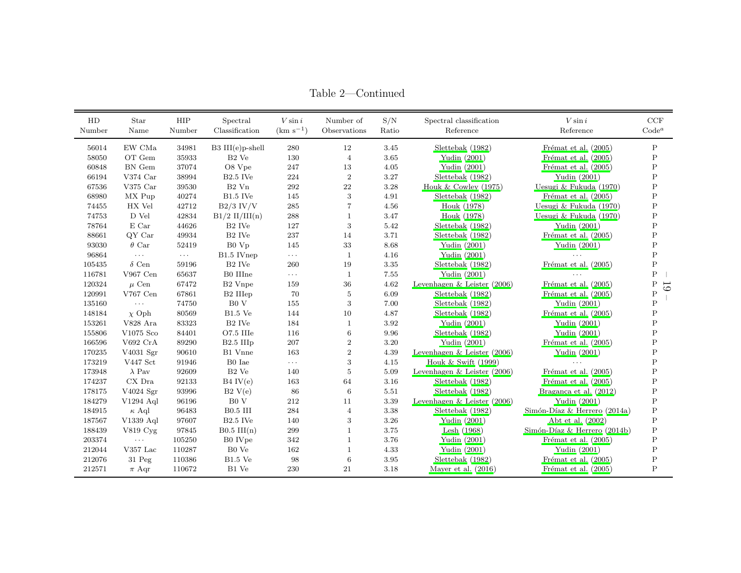| HD<br>Number | Star<br>Name                     | HIP<br>Number | Spectral<br>Classification | $V \sin i$<br>$(km s^{-1})$ | Number of<br>Observations | S/N<br>Ratio | Spectral classification<br>Reference | $V \sin i$<br>Reference      | $\ensuremath{\mathrm{CCF}}$<br>$\mathbf{Code}^a$ |
|--------------|----------------------------------|---------------|----------------------------|-----------------------------|---------------------------|--------------|--------------------------------------|------------------------------|--------------------------------------------------|
| 56014        | EW CMa                           | 34981         | $B3$ III(e)p-shell         | 280                         | 12                        | 3.45         | Slettebak (1982)                     | Frémat et al. $(2005)$       | $\mathbf P$                                      |
| 58050        | OT Gem                           | 35933         | $B2$ Ve                    | 130                         | $\overline{4}$            | 3.65         | Yudin (2001)                         | Frémat et al. $(2005)$       | P                                                |
| 60848        | BN Gem                           | 37074         | O8 Vpe                     | 247                         | 13                        | 4.05         | Yudin (2001)                         | Frémat et al. (2005)         | $\mathbf P$                                      |
| 66194        | V374 $Car$                       | 38994         | $B2.5$ IVe                 | 224                         | $\overline{2}$            | 3.27         | Slettebak (1982)                     | Yudin (2001)                 | P                                                |
| 67536        | V375 $Car$                       | 39530         | $B2$ Vn                    | 292                         | 22                        | 3.28         | Houk & Cowley $(1975)$               | Uesugi & Fukuda (1970)       | $\mathsf{P}$                                     |
| 68980        | MX Pup                           | 40274         | $B1.5$ IVe                 | 145                         | 3                         | 4.91         | Slettebak (1982)                     | Frémat et al. $(2005)$       | Ρ                                                |
| 74455        | HX Vel                           | 42712         | $B2/3$ IV/V                | 285                         | 7                         | 4.56         | Houk (1978)                          | Uesugi & Fukuda (1970)       | $\mathbf P$                                      |
| 74753        | D Vel                            | 42834         | $B1/2$ II/III(n)           | 288                         | 1                         | 3.47         | Houk (1978)                          | Uesugi & Fukuda (1970)       | $\mathbf P$                                      |
| 78764        | E Car                            | 44626         | B <sub>2</sub> IVe         | 127                         | 3                         | 5.42         | Slettebak (1982)                     | Yudin $(2001)$               | $\mathbf P$                                      |
| 88661        | QY Car                           | 49934         | B <sub>2</sub> IVe         | 237                         | 14                        | 3.71         | Slettebak (1982)                     | Frémat et al. (2005)         | $\mathsf{P}$                                     |
| 93030        | $\theta$ Car                     | 52419         | B0 Vp                      | 145                         | 33                        | 8.68         | Yudin (2001)                         | Yudin (2001)                 | $\mathsf{P}$                                     |
| 96864        | $\ldots$                         | $\ldots$      | B1.5 IVnep                 | $\ldots$ .                  | $\mathbf{1}$              | 4.16         | Yudin (2001)                         |                              | $\mathsf{P}$                                     |
| 105435       | $\delta$ Cen                     | 59196         | B <sub>2</sub> IVe         | 260                         | 19                        | 3.35         | Slettebak (1982)                     | Frémat et al. (2005)         | $\mathbf P$                                      |
| 116781       | $V967$ Cen                       | 65637         | B0 IIIne                   | $\sim$ $\sim$ $\sim$        | $\mathbf{1}$              | 7.55         | Yudin $(2001)$                       | $\cdots$                     | $\mathsf{P}$                                     |
| 120324       | $\mu$ Cen                        | 67472         | B2 Vnpe                    | 159                         | 36                        | 4.62         | Levenhagen $&$ Leister (2006)        | Frémat et al. (2005)         | $\mathsf{P}$<br>61                               |
| 120991       | V767 Cen                         | 67861         | B2 IIIep                   | 70                          | 5                         | 6.09         | Slettebak (1982)                     | Frémat et al. $(2005)$       | $\mathsf{P}$                                     |
| 135160       | $\ldots$                         | 74750         | B0V                        | 155                         | 3                         | 7.00         | Slettebak (1982)                     | Yudin (2001)                 | P                                                |
| 148184       | $\chi$ Oph                       | 80569         | $B1.5$ Ve                  | 144                         | 10                        | 4.87         | Slettebak (1982)                     | Frémat et al. (2005)         | P                                                |
| 153261       | V828 Ara                         | 83323         | B <sub>2</sub> IVe         | 184                         | $\mathbf{1}$              | 3.92         | Yudin $(2001)$                       | Yudin (2001)                 | P                                                |
| 155806       | V1075 Sco                        | 84401         | O7.5 IIIe                  | 116                         | 6                         | 9.96         | Slettebak (1982)                     | Yudin (2001)                 | P                                                |
| 166596       | V692 CrA                         | 89290         | $B2.5$ III <sub>p</sub>    | 207                         | $\boldsymbol{2}$          | 3.20         | Yudin $(2001)$                       | Frémat et al. $(2005)$       | P                                                |
| 170235       | V4031 Sgr                        | 90610         | B1 Vnne                    | 163                         | $\boldsymbol{2}$          | 4.39         | Levenhagen $&$ Leister (2006)        | Yudin (2001)                 | Ρ                                                |
| 173219       | V447 Sct                         | 91946         | B0 Iae                     | $\ldots$                    | 3                         | 4.15         | Houk $&$ Swift (1999)                |                              | $\mathsf{P}$                                     |
| 173948       | $\lambda$ Pav                    | 92609         | $B2$ Ve                    | 140                         | 5                         | 5.09         | Levenhagen $&$ Leister (2006)        | Frémat et al. (2005)         | P                                                |
| 174237       | $CX$ Dra                         | 92133         | $B4$ IV $(e)$              | 163                         | 64                        | 3.16         | Slettebak (1982)                     | Frémat et al. (2005)         | $\mathbf P$                                      |
| 178175       | V4024 Sgr                        | 93996         | B2 V(e)                    | 86                          | $6\phantom{1}6$           | 5.51         | Slettebak (1982)                     | Bragança et al. (2012)       | $\rm P$                                          |
| 184279       | $V1294$ Aql                      | 96196         | B <sub>0</sub> V           | 212                         | 11                        | 3.39         | Levenhagen $&$ Leister (2006)        | Yudin (2001)                 | $\mathbf P$                                      |
| 184915       | $\kappa$ Aql                     | 96483         | <b>B0.5 III</b>            | 284                         | $\overline{4}$            | 3.38         | Slettebak (1982)                     | Simón-Díaz & Herrero (2014a) | $\mathbf P$                                      |
| 187567       | V1339 Aql                        | 97607         | $B2.5$ IVe                 | 140                         | 3                         | 3.26         | Yudin (2001)                         | Abt et al. (2002)            | $\mathbf P$                                      |
| 188439       | $V819$ Cyg                       | 97845         | $B0.5$ III(n)              | 299                         |                           | 3.75         | Lesh $(1968)$                        | Simón-Díaz & Herrero (2014b) | $\mathbf P$                                      |
| 203374       | $\ldots$                         | 105250        | B0 IVpe                    | 342                         | 1                         | 3.76         | Yudin $(2001)$                       | Frémat et al. (2005)         | $\mathbf P$                                      |
| 212044       | $V357$ Lac                       | 110287        | B0 Ve                      | 162                         | 1                         | 4.33         | Yudin $(2001)$                       | Yudin $(2001)$               | P                                                |
| 212076       | $31$ $\ensuremath{\mathrm{Peg}}$ | 110386        | $B1.5$ Ve                  | 98                          | $\,6$                     | 3.95         | Slettebak (1982)                     | Frémat et al. $(2005)$       | P                                                |
| 212571       | $\pi$ Aqr                        | 110672        | B1 Ve                      | 230                         | 21                        | 3.18         | Mayer et al. $(2016)$                | Frémat et al. $(2005)$       | $\mathbf P$                                      |

Table 2—Continued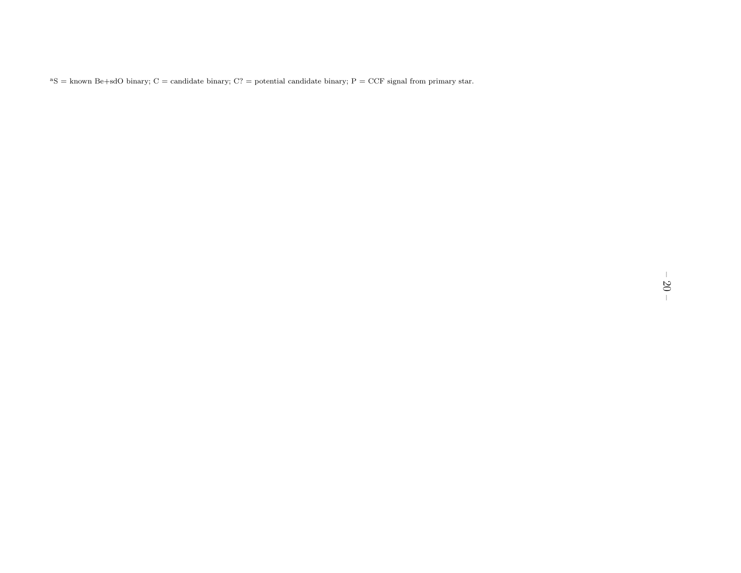<sup>a</sup>S = known Be+sdO binary; C = candidate binary; C? = potential candidate binary; P = CCF signal from primary star.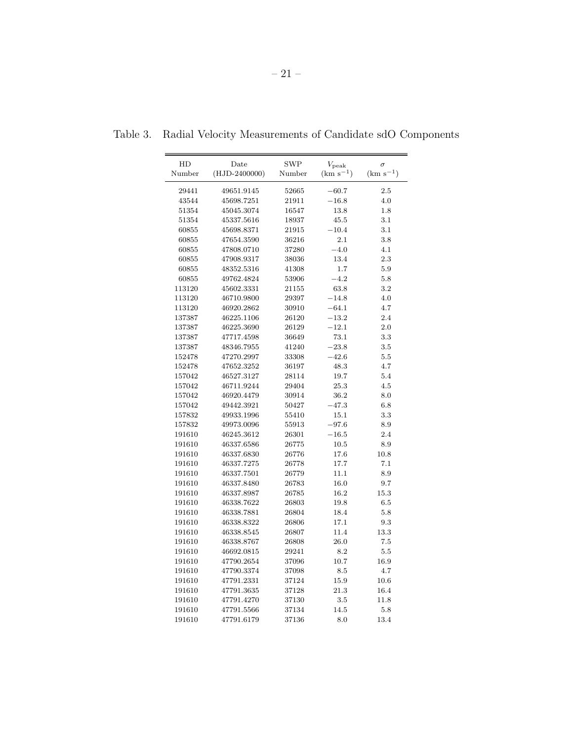| HD<br>Number | Date<br>$(HJD - 2400000)$ | SWP<br>Number | $V_{\rm peak}$<br>$(km s^{-1})$ | $\sigma$<br>$(km s^{-1})$ |
|--------------|---------------------------|---------------|---------------------------------|---------------------------|
|              |                           |               |                                 |                           |
| 29441        | 49651.9145                | 52665         | $-60.7$                         | 2.5                       |
| 43544        | 45698.7251                | 21911         | $-16.8$                         | 4.0                       |
| 51354        | 45045.3074                | 16547         | 13.8                            | 1.8                       |
| 51354        | 45337.5616                | 18937         | 45.5                            | 3.1                       |
| 60855        | 45698.8371                | 21915         | $-10.4$                         | 3.1                       |
| 60855        | 47654.3590                | 36216         | 2.1                             | 3.8                       |
| 60855        | 47808.0710                | 37280         | $-4.0$                          | 4.1                       |
| 60855        | 47908.9317                | 38036         | 13.4                            | 2.3                       |
| 60855        | 48352.5316                | 41308         | 1.7                             | 5.9                       |
| 60855        | 49762.4824                | 53906         | $-4.2$                          | 5.8                       |
| 113120       | 45602.3331                | 21155         | 63.8                            | 3.2                       |
| 113120       | 46710.9800                | 29397         | $-14.8$                         | 4.0                       |
| 113120       | 46920.2862                | 30910         | $-64.1$                         | 4.7                       |
| 137387       | 46225.1106                | 26120         | $-13.2$                         | 2.4                       |
| 137387       | 46225.3690                | 26129         | $-12.1$                         | 2.0                       |
| 137387       | 47717.4598                | 36649         | 73.1                            | 3.3                       |
| 137387       | 48346.7955                | 41240         | $-23.8$                         | 3.5                       |
| 152478       | 47270.2997                | 33308         | $-42.6$                         | 5.5                       |
| 152478       | 47652.3252                | 36197         | 48.3                            | 4.7                       |
| 157042       | 46527.3127                | 28114         | 19.7                            | 5.4                       |
| 157042       | 46711.9244                | 29404         | 25.3                            | 4.5                       |
| 157042       | 46920.4479                | 30914         | 36.2                            | 8.0                       |
| 157042       | 49442.3921                | 50427         | $-47.3$                         | 6.8                       |
| 157832       | 49933.1996                | 55410         | 15.1                            | 3.3                       |
| 157832       | 49973.0096                | 55913         | $-97.6$                         | 8.9                       |
| 191610       | 46245.3612                | 26301         | $-16.5$                         | 2.4                       |
| 191610       | 46337.6586                | 26775         | 10.5                            | 8.9                       |
| 191610       | 46337.6830                | 26776         | 17.6                            | 10.8                      |
| 191610       | 46337.7275                | 26778         | 17.7                            | 7.1                       |
| 191610       | 46337.7501                | 26779         | 11.1                            | 8.9                       |
| 191610       | 46337.8480                | 26783         | 16.0                            | 9.7                       |
| 191610       | 46337.8987                | 26785         | 16.2                            | 15.3                      |
| 191610       | 46338.7622                | 26803         | 19.8                            | 6.5                       |
| 191610       | 46338.7881                | 26804         | 18.4                            | 5.8                       |
| 191610       | 46338.8322                | 26806         | 17.1                            | 9.3                       |
| 191610       | 46338.8545                | 26807         | 11.4                            | 13.3                      |
| 191610       | 46338.8767                | 26808         | 26.0                            | 7.5                       |
| 191610       | 46692.0815                | 29241         | 8.2                             | 5.5                       |
| 191610       | 47790.2654                | 37096         | 10.7                            | 16.9                      |
| 191610       | 47790.3374                | 37098         | 8.5                             | 4.7                       |
| 191610       | 47791.2331                | 37124         | 15.9                            | 10.6                      |
| 191610       | 47791.3635                | 37128         | 21.3                            | 16.4                      |
| 191610       | 47791.4270                | 37130         | 3.5                             | 11.8                      |
| 191610       | 47791.5566                | 37134         | 14.5                            | 5.8                       |
|              |                           |               |                                 |                           |

Table 3. Radial Velocity Measurements of Candidate sdO Components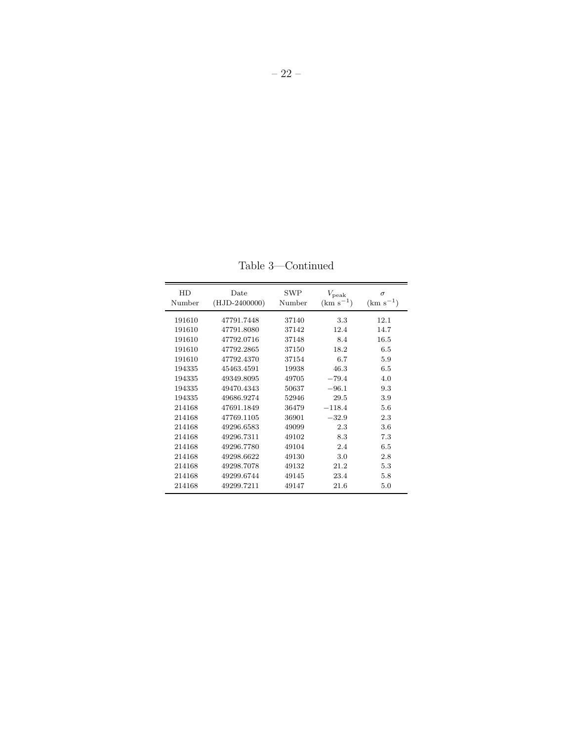| HD<br>Number | Date<br>$(HJD-2400000)$ | <b>SWP</b><br>Number | $V_{\rm peak}$<br>$(km s^{-1})$ | $\sigma$<br>$(km s^{-1})$ |
|--------------|-------------------------|----------------------|---------------------------------|---------------------------|
| 191610       | 47791.7448              | 37140                | 3.3                             | 12.1                      |
| 191610       | 47791.8080              | 37142                | 12.4                            | 14.7                      |
| 191610       | 47792.0716              | 37148                | 8.4                             | 16.5                      |
| 191610       | 47792.2865              | 37150                | 18.2                            | 6.5                       |
| 191610       | 47792.4370              | 37154                | 6.7                             | 5.9                       |
| 194335       | 45463.4591              | 19938                | 46.3                            | 6.5                       |
| 194335       | 49349.8095              | 49705                | $-79.4$                         | 4.0                       |
| 194335       | 49470.4343              | 50637                | $-96.1$                         | 9.3                       |
| 194335       | 49686.9274              | 52946                | 29.5                            | 3.9                       |
| 214168       | 47691.1849              | 36479                | $-118.4$                        | 5.6                       |
| 214168       | 47769.1105              | 36901                | $-32.9$                         | 2.3                       |
| 214168       | 49296.6583              | 49099                | 2.3                             | 3.6                       |
| 214168       | 49296.7311              | 49102                | 8.3                             | 7.3                       |
| 214168       | 49296.7780              | 49104                | 2.4                             | 6.5                       |
| 214168       | 49298.6622              | 49130                | 3.0                             | 2.8                       |
| 214168       | 49298.7078              | 49132                | 21.2                            | 5.3                       |
| 214168       | 49299.6744              | 49145                | 23.4                            | 5.8                       |
| 214168       | 49299.7211              | 49147                | 21.6                            | 5.0                       |

Table 3—Continued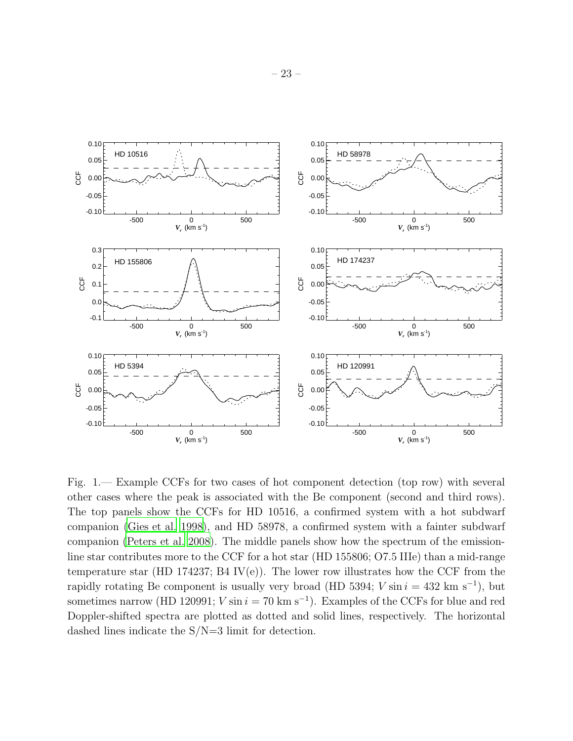

Fig. 1.— Example CCFs for two cases of hot component detection (top row) with several other cases where the peak is associated with the Be component (second and third rows). The top panels show the CCFs for HD 10516, a confirmed system with a hot subdwarf companion [\(Gies et al. 1998\)](#page-12-0), and HD 58978, a confirmed system with a fainter subdwarf companion [\(Peters et al. 2008\)](#page-14-4). The middle panels show how the spectrum of the emissionline star contributes more to the CCF for a hot star (HD 155806; O7.5 IIIe) than a mid-range temperature star (HD 174237; B4 IV(e)). The lower row illustrates how the CCF from the rapidly rotating Be component is usually very broad (HD 5394;  $V \sin i = 432 \text{ km s}^{-1}$ ), but sometimes narrow (HD 120991;  $V \sin i = 70 \text{ km s}^{-1}$ ). Examples of the CCFs for blue and red Doppler-shifted spectra are plotted as dotted and solid lines, respectively. The horizontal dashed lines indicate the S/N=3 limit for detection.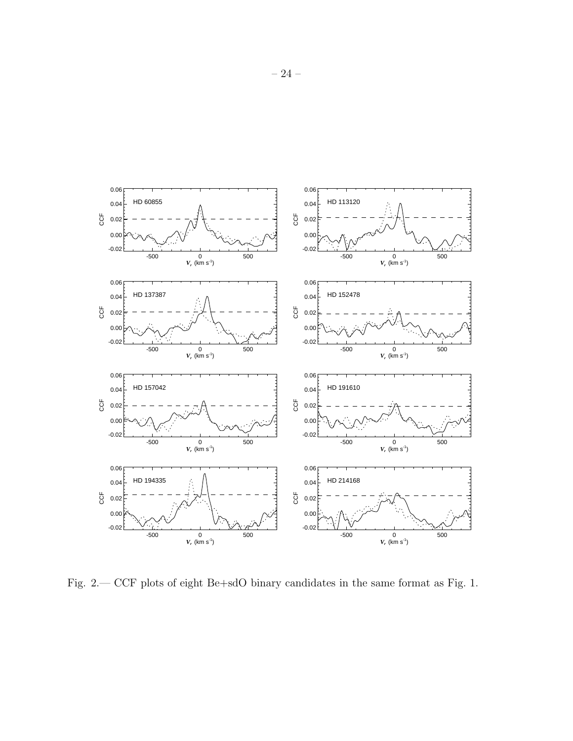

Fig. 2.— CCF plots of eight Be+sdO binary candidates in the same format as Fig. 1.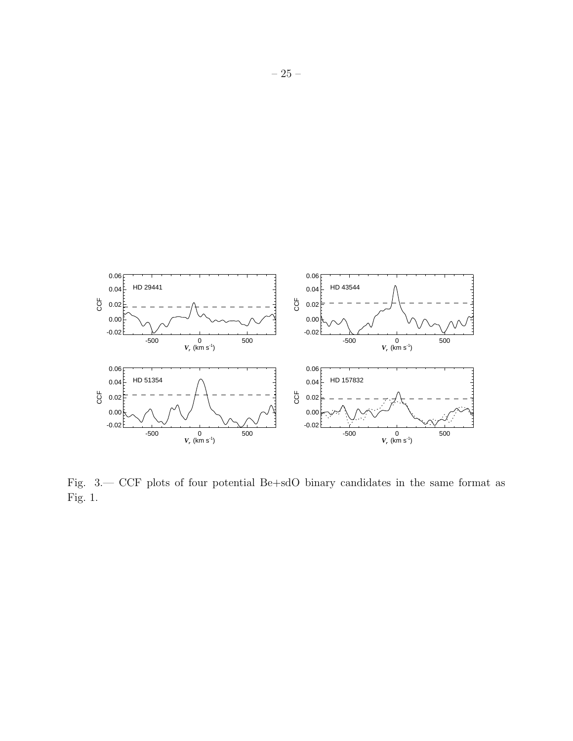

Fig. 3.— CCF plots of four potential Be+sdO binary candidates in the same format as Fig. 1.